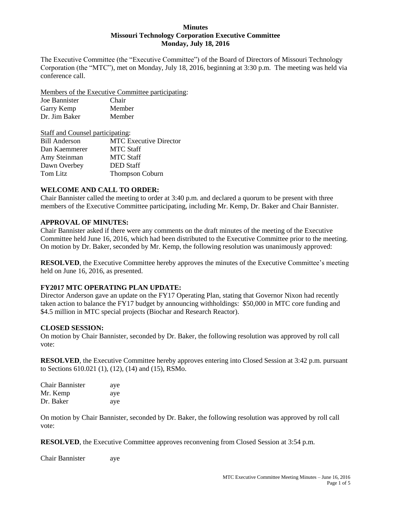#### **Minutes Missouri Technology Corporation Executive Committee Monday, July 18, 2016**

The Executive Committee (the "Executive Committee") of the Board of Directors of Missouri Technology Corporation (the "MTC"), met on Monday, July 18, 2016, beginning at 3:30 p.m. The meeting was held via conference call.

Members of the Executive Committee participating:

| Joe Bannister | Chair  |
|---------------|--------|
| Garry Kemp    | Member |
| Dr. Jim Baker | Member |

| Staff and Counsel participating: |                               |  |
|----------------------------------|-------------------------------|--|
| <b>Bill Anderson</b>             | <b>MTC</b> Executive Director |  |
| Dan Kaemmerer                    | <b>MTC Staff</b>              |  |
| Amy Steinman                     | <b>MTC Staff</b>              |  |
| Dawn Overbey                     | <b>DED</b> Staff              |  |
| Tom Litz                         | <b>Thompson Coburn</b>        |  |

# **WELCOME AND CALL TO ORDER:**

Chair Bannister called the meeting to order at 3:40 p.m. and declared a quorum to be present with three members of the Executive Committee participating, including Mr. Kemp, Dr. Baker and Chair Bannister.

### **APPROVAL OF MINUTES:**

Chair Bannister asked if there were any comments on the draft minutes of the meeting of the Executive Committee held June 16, 2016, which had been distributed to the Executive Committee prior to the meeting. On motion by Dr. Baker, seconded by Mr. Kemp, the following resolution was unanimously approved:

**RESOLVED**, the Executive Committee hereby approves the minutes of the Executive Committee's meeting held on June 16, 2016, as presented.

### **FY2017 MTC OPERATING PLAN UPDATE:**

Director Anderson gave an update on the FY17 Operating Plan, stating that Governor Nixon had recently taken action to balance the FY17 budget by announcing withholdings: \$50,000 in MTC core funding and \$4.5 million in MTC special projects (Biochar and Research Reactor).

### **CLOSED SESSION:**

On motion by Chair Bannister, seconded by Dr. Baker, the following resolution was approved by roll call vote:

**RESOLVED**, the Executive Committee hereby approves entering into Closed Session at 3:42 p.m. pursuant to Sections 610.021 (1), (12), (14) and (15), RSMo.

| Chair Bannister | aye |
|-----------------|-----|
| Mr. Kemp        | aye |
| Dr. Baker       | aye |

On motion by Chair Bannister, seconded by Dr. Baker, the following resolution was approved by roll call vote:

**RESOLVED**, the Executive Committee approves reconvening from Closed Session at 3:54 p.m.

Chair Bannister aye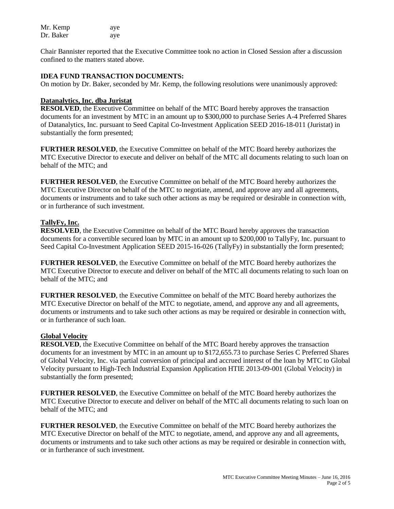| Mr. Kemp  | aye |
|-----------|-----|
| Dr. Baker | aye |

Chair Bannister reported that the Executive Committee took no action in Closed Session after a discussion confined to the matters stated above.

#### **IDEA FUND TRANSACTION DOCUMENTS:**

On motion by Dr. Baker, seconded by Mr. Kemp, the following resolutions were unanimously approved:

### **Datanalytics, Inc. dba Juristat**

**RESOLVED**, the Executive Committee on behalf of the MTC Board hereby approves the transaction documents for an investment by MTC in an amount up to \$300,000 to purchase Series A-4 Preferred Shares of Datanalytics, Inc. pursuant to Seed Capital Co-Investment Application SEED 2016-18-011 (Juristat) in substantially the form presented;

**FURTHER RESOLVED**, the Executive Committee on behalf of the MTC Board hereby authorizes the MTC Executive Director to execute and deliver on behalf of the MTC all documents relating to such loan on behalf of the MTC; and

**FURTHER RESOLVED**, the Executive Committee on behalf of the MTC Board hereby authorizes the MTC Executive Director on behalf of the MTC to negotiate, amend, and approve any and all agreements, documents or instruments and to take such other actions as may be required or desirable in connection with, or in furtherance of such investment.

### **TallyFy, Inc.**

**RESOLVED**, the Executive Committee on behalf of the MTC Board hereby approves the transaction documents for a convertible secured loan by MTC in an amount up to \$200,000 to TallyFy, Inc. pursuant to Seed Capital Co-Investment Application SEED 2015-16-026 (TallyFy) in substantially the form presented;

**FURTHER RESOLVED**, the Executive Committee on behalf of the MTC Board hereby authorizes the MTC Executive Director to execute and deliver on behalf of the MTC all documents relating to such loan on behalf of the MTC; and

**FURTHER RESOLVED**, the Executive Committee on behalf of the MTC Board hereby authorizes the MTC Executive Director on behalf of the MTC to negotiate, amend, and approve any and all agreements, documents or instruments and to take such other actions as may be required or desirable in connection with, or in furtherance of such loan.

### **Global Velocity**

**RESOLVED**, the Executive Committee on behalf of the MTC Board hereby approves the transaction documents for an investment by MTC in an amount up to \$172,655.73 to purchase Series C Preferred Shares of Global Velocity, Inc. via partial conversion of principal and accrued interest of the loan by MTC to Global Velocity pursuant to High-Tech Industrial Expansion Application HTIE 2013-09-001 (Global Velocity) in substantially the form presented;

**FURTHER RESOLVED**, the Executive Committee on behalf of the MTC Board hereby authorizes the MTC Executive Director to execute and deliver on behalf of the MTC all documents relating to such loan on behalf of the MTC; and

**FURTHER RESOLVED**, the Executive Committee on behalf of the MTC Board hereby authorizes the MTC Executive Director on behalf of the MTC to negotiate, amend, and approve any and all agreements, documents or instruments and to take such other actions as may be required or desirable in connection with, or in furtherance of such investment.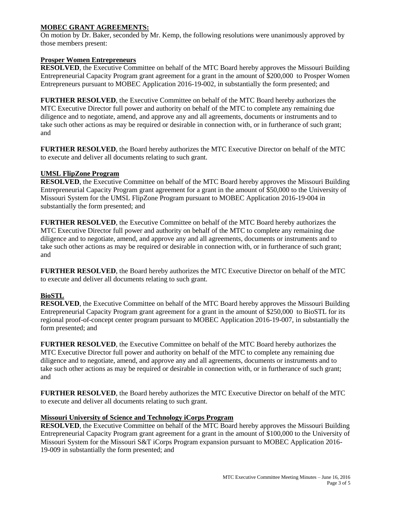## **MOBEC GRANT AGREEMENTS:**

On motion by Dr. Baker, seconded by Mr. Kemp, the following resolutions were unanimously approved by those members present:

### **Prosper Women Entrepreneurs**

**RESOLVED**, the Executive Committee on behalf of the MTC Board hereby approves the Missouri Building Entrepreneurial Capacity Program grant agreement for a grant in the amount of \$200,000 to Prosper Women Entrepreneurs pursuant to MOBEC Application 2016-19-002, in substantially the form presented; and

**FURTHER RESOLVED**, the Executive Committee on behalf of the MTC Board hereby authorizes the MTC Executive Director full power and authority on behalf of the MTC to complete any remaining due diligence and to negotiate, amend, and approve any and all agreements, documents or instruments and to take such other actions as may be required or desirable in connection with, or in furtherance of such grant; and

**FURTHER RESOLVED**, the Board hereby authorizes the MTC Executive Director on behalf of the MTC to execute and deliver all documents relating to such grant.

### **UMSL FlipZone Program**

**RESOLVED**, the Executive Committee on behalf of the MTC Board hereby approves the Missouri Building Entrepreneurial Capacity Program grant agreement for a grant in the amount of \$50,000 to the University of Missouri System for the UMSL FlipZone Program pursuant to MOBEC Application 2016-19-004 in substantially the form presented; and

**FURTHER RESOLVED**, the Executive Committee on behalf of the MTC Board hereby authorizes the MTC Executive Director full power and authority on behalf of the MTC to complete any remaining due diligence and to negotiate, amend, and approve any and all agreements, documents or instruments and to take such other actions as may be required or desirable in connection with, or in furtherance of such grant; and

**FURTHER RESOLVED**, the Board hereby authorizes the MTC Executive Director on behalf of the MTC to execute and deliver all documents relating to such grant.

# **BioSTL**

**RESOLVED**, the Executive Committee on behalf of the MTC Board hereby approves the Missouri Building Entrepreneurial Capacity Program grant agreement for a grant in the amount of \$250,000 to BioSTL for its regional proof-of-concept center program pursuant to MOBEC Application 2016-19-007, in substantially the form presented; and

**FURTHER RESOLVED**, the Executive Committee on behalf of the MTC Board hereby authorizes the MTC Executive Director full power and authority on behalf of the MTC to complete any remaining due diligence and to negotiate, amend, and approve any and all agreements, documents or instruments and to take such other actions as may be required or desirable in connection with, or in furtherance of such grant; and

**FURTHER RESOLVED**, the Board hereby authorizes the MTC Executive Director on behalf of the MTC to execute and deliver all documents relating to such grant.

### **Missouri University of Science and Technology iCorps Program**

**RESOLVED**, the Executive Committee on behalf of the MTC Board hereby approves the Missouri Building Entrepreneurial Capacity Program grant agreement for a grant in the amount of \$100,000 to the University of Missouri System for the Missouri S&T iCorps Program expansion pursuant to MOBEC Application 2016- 19-009 in substantially the form presented; and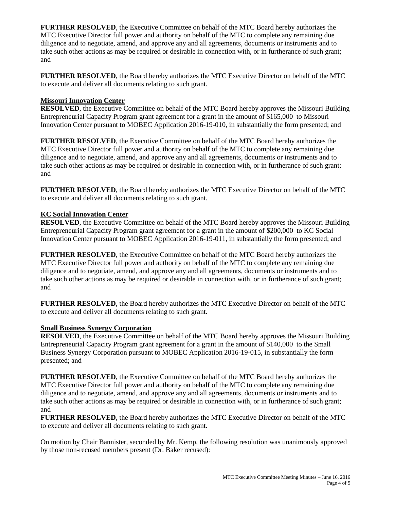**FURTHER RESOLVED**, the Executive Committee on behalf of the MTC Board hereby authorizes the MTC Executive Director full power and authority on behalf of the MTC to complete any remaining due diligence and to negotiate, amend, and approve any and all agreements, documents or instruments and to take such other actions as may be required or desirable in connection with, or in furtherance of such grant; and

**FURTHER RESOLVED**, the Board hereby authorizes the MTC Executive Director on behalf of the MTC to execute and deliver all documents relating to such grant.

## **Missouri Innovation Center**

**RESOLVED**, the Executive Committee on behalf of the MTC Board hereby approves the Missouri Building Entrepreneurial Capacity Program grant agreement for a grant in the amount of \$165,000 to Missouri Innovation Center pursuant to MOBEC Application 2016-19-010, in substantially the form presented; and

**FURTHER RESOLVED**, the Executive Committee on behalf of the MTC Board hereby authorizes the MTC Executive Director full power and authority on behalf of the MTC to complete any remaining due diligence and to negotiate, amend, and approve any and all agreements, documents or instruments and to take such other actions as may be required or desirable in connection with, or in furtherance of such grant; and

**FURTHER RESOLVED**, the Board hereby authorizes the MTC Executive Director on behalf of the MTC to execute and deliver all documents relating to such grant.

### **KC Social Innovation Center**

**RESOLVED**, the Executive Committee on behalf of the MTC Board hereby approves the Missouri Building Entrepreneurial Capacity Program grant agreement for a grant in the amount of \$200,000 to KC Social Innovation Center pursuant to MOBEC Application 2016-19-011, in substantially the form presented; and

**FURTHER RESOLVED**, the Executive Committee on behalf of the MTC Board hereby authorizes the MTC Executive Director full power and authority on behalf of the MTC to complete any remaining due diligence and to negotiate, amend, and approve any and all agreements, documents or instruments and to take such other actions as may be required or desirable in connection with, or in furtherance of such grant; and

**FURTHER RESOLVED**, the Board hereby authorizes the MTC Executive Director on behalf of the MTC to execute and deliver all documents relating to such grant.

### **Small Business Synergy Corporation**

**RESOLVED**, the Executive Committee on behalf of the MTC Board hereby approves the Missouri Building Entrepreneurial Capacity Program grant agreement for a grant in the amount of \$140,000 to the Small Business Synergy Corporation pursuant to MOBEC Application 2016-19-015, in substantially the form presented; and

**FURTHER RESOLVED**, the Executive Committee on behalf of the MTC Board hereby authorizes the MTC Executive Director full power and authority on behalf of the MTC to complete any remaining due diligence and to negotiate, amend, and approve any and all agreements, documents or instruments and to take such other actions as may be required or desirable in connection with, or in furtherance of such grant; and

**FURTHER RESOLVED**, the Board hereby authorizes the MTC Executive Director on behalf of the MTC to execute and deliver all documents relating to such grant.

On motion by Chair Bannister, seconded by Mr. Kemp, the following resolution was unanimously approved by those non-recused members present (Dr. Baker recused):